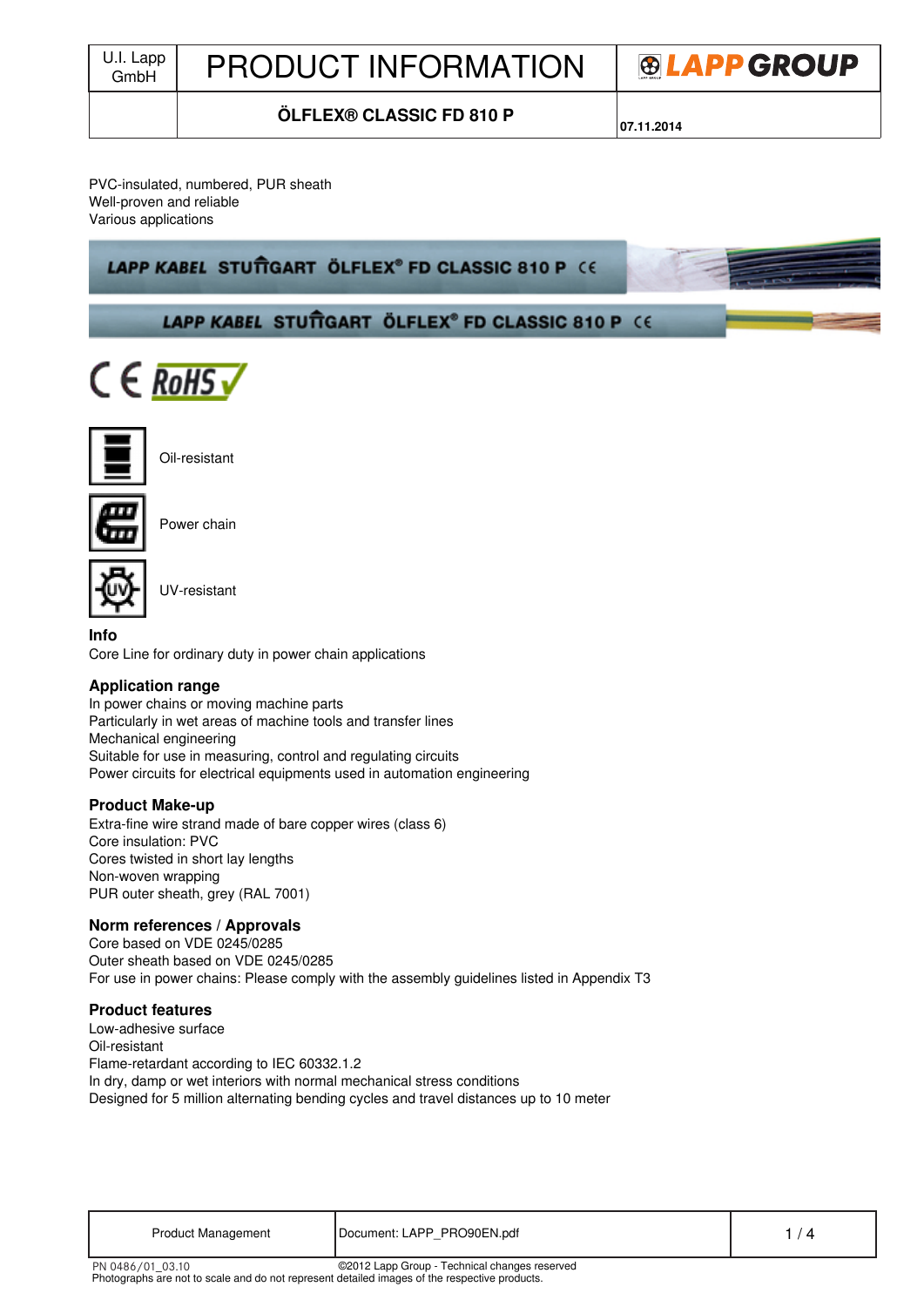| U.I. Lapp<br>GmbH | <b>PRODUCT INFORMATION</b>      | <b>®LAPPGROUP</b> |  |
|-------------------|---------------------------------|-------------------|--|
|                   | <b>ÖLFLEX® CLASSIC FD 810 P</b> | 07.11.2014        |  |

#### PVC-insulated, numbered, PUR sheath Well-proven and reliable Various applications

# LAPP KABEL STUTTGART ÖLFLEX® FD CLASSIC 810 P CE







Oil-resistant



Power chain



UV-resistant

## **Info**

Core Line for ordinary duty in power chain applications

## **Application range**

In power chains or moving machine parts Particularly in wet areas of machine tools and transfer lines Mechanical engineering Suitable for use in measuring, control and regulating circuits Power circuits for electrical equipments used in automation engineering

## **Product Make-up**

Extra-fine wire strand made of bare copper wires (class 6) Core insulation: PVC Cores twisted in short lay lengths Non-woven wrapping PUR outer sheath, grey (RAL 7001)

## **Norm references / Approvals**

Core based on VDE 0245/0285 Outer sheath based on VDE 0245/0285 For use in power chains: Please comply with the assembly guidelines listed in Appendix T3

## **Product features**

Low-adhesive surface Oil-resistant Flame-retardant according to IEC 60332.1.2 In dry, damp or wet interiors with normal mechanical stress conditions Designed for 5 million alternating bending cycles and travel distances up to 10 meter

| Product Management | Document: LAPP PRO90EN.pdf |  |
|--------------------|----------------------------|--|
|--------------------|----------------------------|--|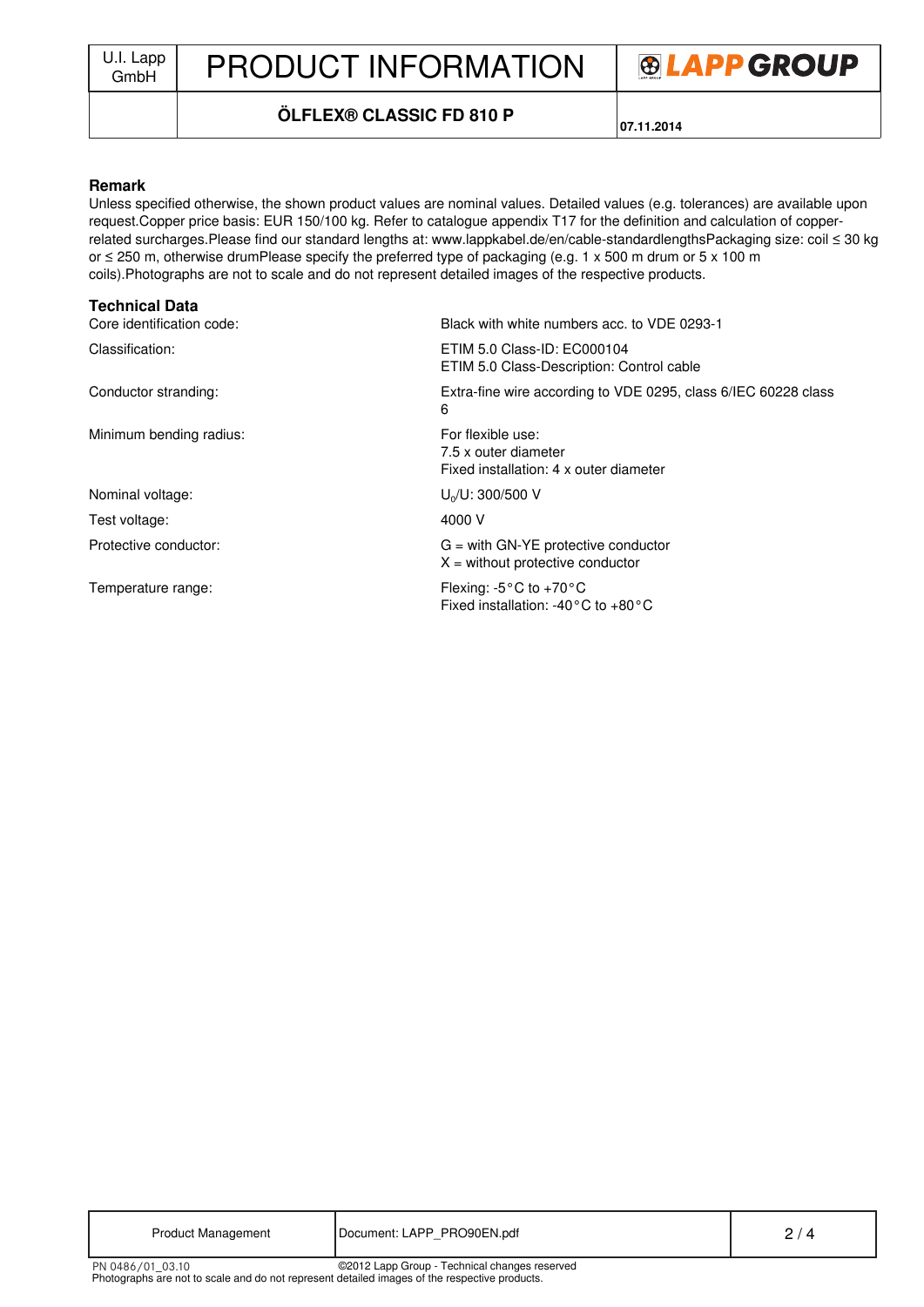J.I. Lapp | PRODUCT INFORMATION



## **ÖLFLEX® CLASSIC FD 810 P**

**07.11.2014**

#### **Remark**

Unless specified otherwise, the shown product values are nominal values. Detailed values (e.g. tolerances) are available upon request.Copper price basis: EUR 150/100 kg. Refer to catalogue appendix T17 for the definition and calculation of copperrelated surcharges.Please find our standard lengths at: www.lappkabel.de/en/cable-standardlengthsPackaging size: coil ≤ 30 kg or ≤ 250 m, otherwise drumPlease specify the preferred type of packaging (e.g. 1 x 500 m drum or 5 x 100 m coils).Photographs are not to scale and do not represent detailed images of the respective products.

#### **Technical Data**

| Core identification code: | Black with white numbers acc. to VDE 0293-1                                                            |
|---------------------------|--------------------------------------------------------------------------------------------------------|
| Classification:           | ETIM 5.0 Class-ID: EC000104<br>ETIM 5.0 Class-Description: Control cable                               |
| Conductor stranding:      | Extra-fine wire according to VDE 0295, class 6/IEC 60228 class<br>6                                    |
| Minimum bending radius:   | For flexible use:<br>7.5 x outer diameter<br>Fixed installation: 4 x outer diameter                    |
| Nominal voltage:          | $U_0/U$ : 300/500 V                                                                                    |
| Test voltage:             | 4000 V                                                                                                 |
| Protective conductor:     | $G =$ with GN-YE protective conductor<br>$X =$ without protective conductor                            |
| Temperature range:        | Flexing: $-5^{\circ}$ C to $+70^{\circ}$ C<br>Fixed installation: -40 $^{\circ}$ C to +80 $^{\circ}$ C |
|                           |                                                                                                        |

| <b>Product Management</b>                                                                                                                                          | Document: LAPP PRO90EN.pdf | 2/4 |  |
|--------------------------------------------------------------------------------------------------------------------------------------------------------------------|----------------------------|-----|--|
| ©2012 Lapp Group - Technical changes reserved<br>PN 0486/01 03.10<br>Photographs are not to scale and do not represent detailed images of the respective products. |                            |     |  |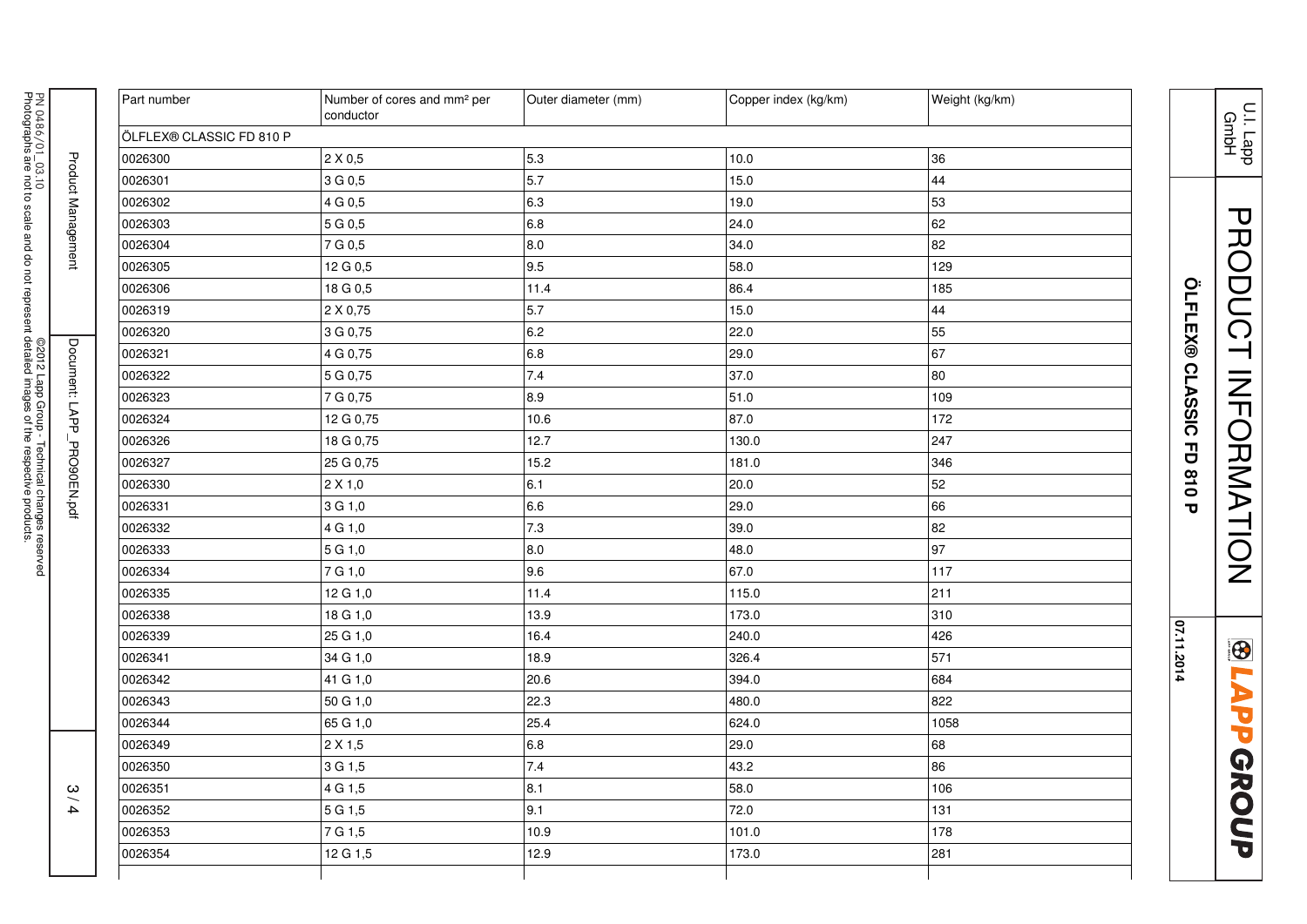| PN 0486/01_03.10           | Part number              | Number of cores and mm <sup>2</sup> per<br>conductor | Outer diameter (mm) | Copper index (kg/km) | Weight (kg/km) |                          |
|----------------------------|--------------------------|------------------------------------------------------|---------------------|----------------------|----------------|--------------------------|
|                            | ÖLFLEX® CLASSIC FD 810 P |                                                      |                     |                      |                |                          |
|                            | 0026300                  | $2 \times 0.5$                                       | 5.3                 | 10.0                 | 36             |                          |
|                            | 0026301                  | 3 G 0,5                                              | 5.7                 | 15.0                 | 44             |                          |
|                            | 0026302                  | 4 G 0,5                                              | 6.3                 | 19.0                 | 53             |                          |
| Product Management         | 0026303                  | 5 G 0,5                                              | 6.8                 | 24.0                 | 62             |                          |
|                            | 0026304                  | 7 G 0,5                                              | 8.0                 | 34.0                 | 82             |                          |
|                            | 0026305                  | 12 G 0,5                                             | 9.5                 | 58.0                 | 129            |                          |
|                            | 0026306                  | 18 G 0,5                                             | 11.4                | 86.4                 | 185            |                          |
|                            | 0026319                  | 2 X 0,75                                             | 5.7                 | 15.0                 | 44             |                          |
|                            | 0026320                  | 3 G 0,75                                             | 6.2                 | 22.0                 | 55             |                          |
|                            | 0026321                  | 4 G 0,75                                             | 6.8                 | 29.0                 | 67             |                          |
|                            | 0026322                  | 5 G 0,75                                             | 7.4                 | 37.0                 | 80             | OLFLEX® CLASSIC FD 810 P |
|                            | 0026323                  | 7 G 0,75                                             | 8.9                 | 51.0                 | 109            |                          |
| ©2012 Lapp Group -         | 0026324                  | 12 G 0,75                                            | 10.6                | 87.0                 | 172            |                          |
|                            | 0026326                  | 18 G 0,75                                            | 12.7                | 130.0                | 247            |                          |
|                            | 0026327                  | 25 G 0,75                                            | 15.2                | 181.0                | 346            |                          |
|                            | 0026330                  | $2 \times 1,0$                                       | 6.1                 | 20.0                 | 52             |                          |
| Document: LAPP_PRO90EN.pdf | 0026331                  | 3 G 1,0                                              | 6.6                 | 29.0                 | 66             |                          |
| Technical changes reserved | 0026332                  | 4 G 1,0                                              | 7.3                 | 39.0                 | 82             |                          |
|                            | 0026333                  | 5 G 1,0                                              | 8.0                 | 48.0                 | 97             |                          |
|                            | 0026334                  | 7 G 1,0                                              | 9.6                 | 67.0                 | 117            |                          |
|                            | 0026335                  | 12 G 1,0                                             | 11.4                | 115.0                | 211            |                          |
|                            | 0026338                  | 18 G 1,0                                             | 13.9                | 173.0                | 310            |                          |
|                            | 0026339                  | 25 G 1,0                                             | 16.4                | 240.0                | 426            |                          |
|                            | 0026341                  | 34 G 1,0                                             | 18.9                | 326.4                | 571            | 07.11.2014               |
|                            | 0026342                  | 41 G 1,0                                             | 20.6                | 394.0                | 684            |                          |
|                            | 0026343                  | 50 G 1,0                                             | 22.3                | 480.0                | 822            |                          |
|                            | 0026344                  | 65 G 1,0                                             | 25.4                | 624.0                | 1058           |                          |
| $\frac{8}{2}$              | 0026349                  | 2 X 1,5                                              | 6.8                 | 29.0                 | 68             |                          |
|                            | 0026350                  | 3 G 1,5                                              | 7.4                 | 43.2                 | 86             |                          |
|                            | 0026351                  | 4 G 1,5                                              | 8.1                 | 58.0                 | 106            |                          |
| $\overline{\mathbf{4}}$    | 0026352                  | 5 G 1,5                                              | 9.1                 | 72.0                 | 131            |                          |
|                            | 0026353                  | 7 G 1,5                                              | 10.9                | 101.0                | 178            |                          |
|                            | 0026354                  | 12 G 1,5                                             | 12.9                | 173.0                | 281            |                          |
|                            |                          |                                                      |                     |                      |                |                          |

U.I. Lapp GmbH

PRODUCT INFORMATION

**BLAPPGROUP** 

PRODUCT INFORMATION